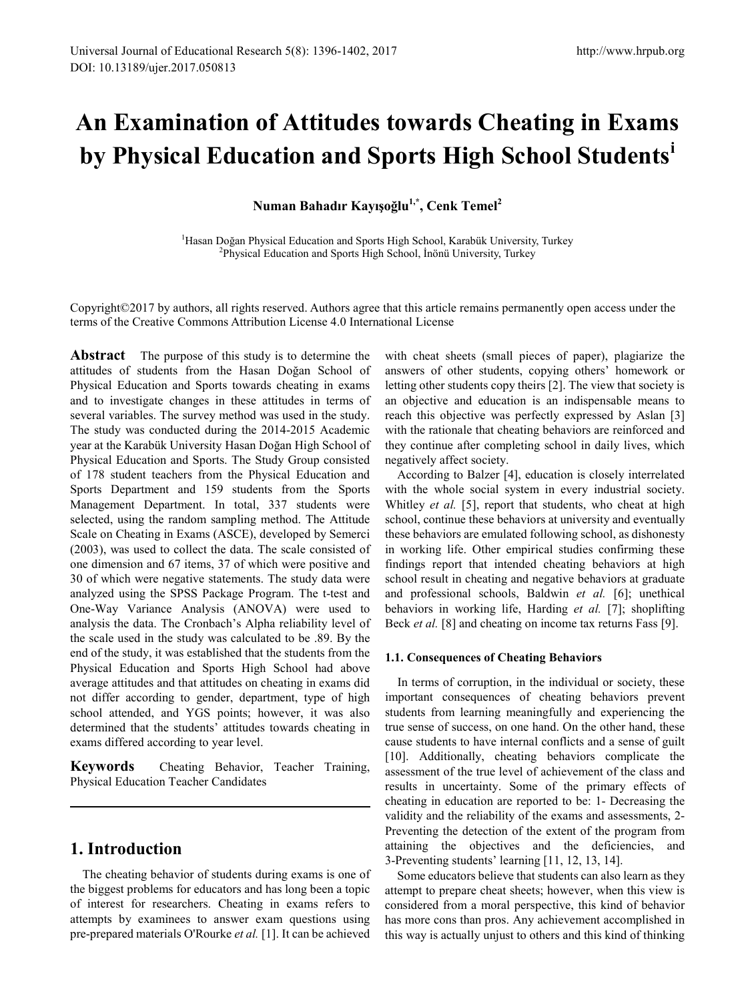# **An Examination of Attitudes towards Cheating in Exams by Physical Education and Sports High School Students[i](#page-6-0)**

**Numan Bahadır Kayışoğlu1,\*, Cenk Temel2**

<sup>1</sup>Hasan Doğan Physical Education and Sports High School, Karabük University, Turkey<br><sup>2</sup>Physical Education and Sports High School, İnönü University, Turkey <sup>2</sup>Physical Education and Sports High School, İnönü University, Turkey

Copyright©2017 by authors, all rights reserved. Authors agree that this article remains permanently open access under the terms of the Creative Commons Attribution License 4.0 International License

**Abstract** The purpose of this study is to determine the attitudes of students from the Hasan Doğan School of Physical Education and Sports towards cheating in exams and to investigate changes in these attitudes in terms of several variables. The survey method was used in the study. The study was conducted during the 2014-2015 Academic year at the Karabük University Hasan Doğan High School of Physical Education and Sports. The Study Group consisted of 178 student teachers from the Physical Education and Sports Department and 159 students from the Sports Management Department. In total, 337 students were selected, using the random sampling method. The Attitude Scale on Cheating in Exams (ASCE), developed by Semerci (2003), was used to collect the data. The scale consisted of one dimension and 67 items, 37 of which were positive and 30 of which were negative statements. The study data were analyzed using the SPSS Package Program. The t-test and One-Way Variance Analysis (ANOVA) were used to analysis the data. The Cronbach's Alpha reliability level of the scale used in the study was calculated to be .89. By the end of the study, it was established that the students from the Physical Education and Sports High School had above average attitudes and that attitudes on cheating in exams did not differ according to gender, department, type of high school attended, and YGS points; however, it was also determined that the students' attitudes towards cheating in exams differed according to year level.

**Keywords** Cheating Behavior, Teacher Training, Physical Education Teacher Candidates

# **1. Introduction**

The cheating behavior of students during exams is one of the biggest problems for educators and has long been a topic of interest for researchers. Cheating in exams refers to attempts by examinees to answer exam questions using pre-prepared materials O'Rourke *et al.* [1]. It can be achieved

with cheat sheets (small pieces of paper), plagiarize the answers of other students, copying others' homework or letting other students copy theirs [2]. The view that society is an objective and education is an indispensable means to reach this objective was perfectly expressed by Aslan [3] with the rationale that cheating behaviors are reinforced and they continue after completing school in daily lives, which negatively affect society.

According to Balzer [4], education is closely interrelated with the whole social system in every industrial society. Whitley *et al.* [5], report that students, who cheat at high school, continue these behaviors at university and eventually these behaviors are emulated following school, as dishonesty in working life. Other empirical studies confirming these findings report that intended cheating behaviors at high school result in cheating and negative behaviors at graduate and professional schools, Baldwin *et al.* [6]; unethical behaviors in working life, Harding *et al.* [7]; shoplifting Beck *et al.* [8] and cheating on income tax returns Fass [9].

### **1.1. Consequences of Cheating Behaviors**

In terms of corruption, in the individual or society, these important consequences of cheating behaviors prevent students from learning meaningfully and experiencing the true sense of success, on one hand. On the other hand, these cause students to have internal conflicts and a sense of guilt [10]. Additionally, cheating behaviors complicate the assessment of the true level of achievement of the class and results in uncertainty. Some of the primary effects of cheating in education are reported to be: 1- Decreasing the validity and the reliability of the exams and assessments, 2- Preventing the detection of the extent of the program from attaining the objectives and the deficiencies, and 3-Preventing students' learning [11, 12, 13, 14].

Some educators believe that students can also learn as they attempt to prepare cheat sheets; however, when this view is considered from a moral perspective, this kind of behavior has more cons than pros. Any achievement accomplished in this way is actually unjust to others and this kind of thinking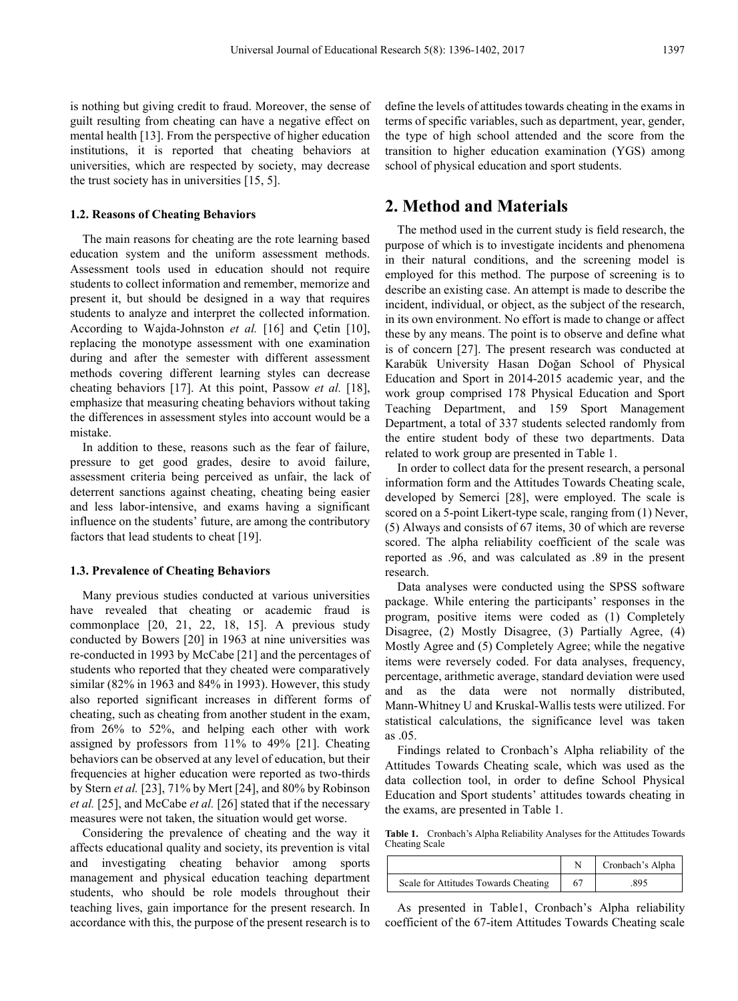is nothing but giving credit to fraud. Moreover, the sense of guilt resulting from cheating can have a negative effect on mental health [13]. From the perspective of higher education institutions, it is reported that cheating behaviors at universities, which are respected by society, may decrease the trust society has in universities [15, 5].

#### **1.2. Reasons of Cheating Behaviors**

The main reasons for cheating are the rote learning based education system and the uniform assessment methods. Assessment tools used in education should not require students to collect information and remember, memorize and present it, but should be designed in a way that requires students to analyze and interpret the collected information. According to Wajda-Johnston *et al.* [16] and Çetin [10], replacing the monotype assessment with one examination during and after the semester with different assessment methods covering different learning styles can decrease cheating behaviors [17]. At this point, Passow *et al.* [18], emphasize that measuring cheating behaviors without taking the differences in assessment styles into account would be a mistake.

In addition to these, reasons such as the fear of failure, pressure to get good grades, desire to avoid failure, assessment criteria being perceived as unfair, the lack of deterrent sanctions against cheating, cheating being easier and less labor-intensive, and exams having a significant influence on the students' future, are among the contributory factors that lead students to cheat [19].

#### **1.3. Prevalence of Cheating Behaviors**

Many previous studies conducted at various universities have revealed that cheating or academic fraud is commonplace [20, 21, 22, 18, 15]. A previous study conducted by Bowers [20] in 1963 at nine universities was re-conducted in 1993 by McCabe [21] and the percentages of students who reported that they cheated were comparatively similar (82% in 1963 and 84% in 1993). However, this study also reported significant increases in different forms of cheating, such as cheating from another student in the exam, from 26% to 52%, and helping each other with work assigned by professors from 11% to 49% [21]. Cheating behaviors can be observed at any level of education, but their frequencies at higher education were reported as two-thirds by Stern *et al.* [23], 71% by Mert [24], and 80% by Robinson *et al.* [25], and McCabe *et al.* [26] stated that if the necessary measures were not taken, the situation would get worse.

Considering the prevalence of cheating and the way it affects educational quality and society, its prevention is vital and investigating cheating behavior among sports management and physical education teaching department students, who should be role models throughout their teaching lives, gain importance for the present research. In accordance with this, the purpose of the present research is to define the levels of attitudes towards cheating in the exams in terms of specific variables, such as department, year, gender, the type of high school attended and the score from the transition to higher education examination (YGS) among school of physical education and sport students.

# **2. Method and Materials**

The method used in the current study is field research, the purpose of which is to investigate incidents and phenomena in their natural conditions, and the screening model is employed for this method. The purpose of screening is to describe an existing case. An attempt is made to describe the incident, individual, or object, as the subject of the research, in its own environment. No effort is made to change or affect these by any means. The point is to observe and define what is of concern [27]. The present research was conducted at Karabük University Hasan Doğan School of Physical Education and Sport in 2014-2015 academic year, and the work group comprised 178 Physical Education and Sport Teaching Department, and 159 Sport Management Department, a total of 337 students selected randomly from the entire student body of these two departments. Data related to work group are presented in Table 1.

In order to collect data for the present research, a personal information form and the Attitudes Towards Cheating scale, developed by Semerci [28], were employed. The scale is scored on a 5-point Likert-type scale, ranging from (1) Never, (5) Always and consists of 67 items, 30 of which are reverse scored. The alpha reliability coefficient of the scale was reported as .96, and was calculated as .89 in the present research.

Data analyses were conducted using the SPSS software package. While entering the participants' responses in the program, positive items were coded as (1) Completely Disagree, (2) Mostly Disagree, (3) Partially Agree, (4) Mostly Agree and (5) Completely Agree; while the negative items were reversely coded. For data analyses, frequency, percentage, arithmetic average, standard deviation were used and as the data were not normally distributed, Mann-Whitney U and Kruskal-Wallis tests were utilized. For statistical calculations, the significance level was taken as .05.

Findings related to Cronbach's Alpha reliability of the Attitudes Towards Cheating scale, which was used as the data collection tool, in order to define School Physical Education and Sport students' attitudes towards cheating in the exams, are presented in Table 1.

**Table 1.** Cronbach's Alpha Reliability Analyses for the Attitudes Towards Cheating Scale

|                                      | Cronbach's Alpha |
|--------------------------------------|------------------|
| Scale for Attitudes Towards Cheating | 895              |

As presented in Table1, Cronbach's Alpha reliability coefficient of the 67-item Attitudes Towards Cheating scale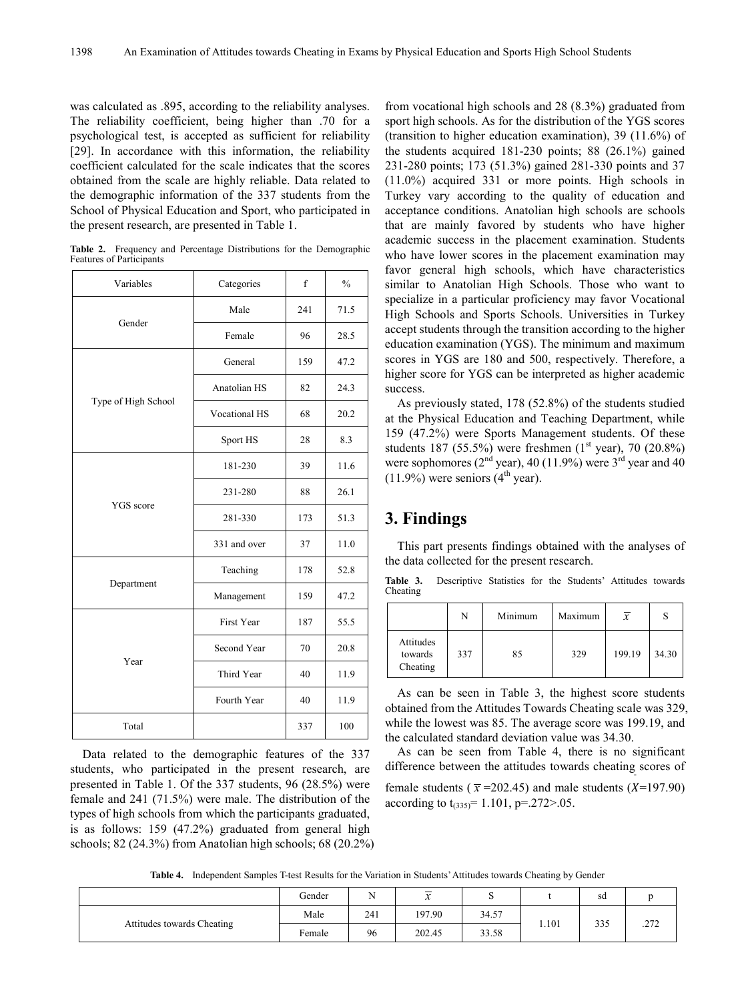was calculated as .895, according to the reliability analyses. The reliability coefficient, being higher than .70 for a psychological test, is accepted as sufficient for reliability [29]. In accordance with this information, the reliability coefficient calculated for the scale indicates that the scores obtained from the scale are highly reliable. Data related to the demographic information of the 337 students from the School of Physical Education and Sport, who participated in the present research, are presented in Table 1.

| <b>Table 2.</b> Frequency and Percentage Distributions for the Demographic |  |  |  |
|----------------------------------------------------------------------------|--|--|--|
| Features of Participants                                                   |  |  |  |

| Variables           | Categories           | $\mathbf f$ | $\frac{0}{0}$ |
|---------------------|----------------------|-------------|---------------|
| Gender              | Male                 | 241         | 71.5          |
|                     | Female               | 96          | 28.5          |
|                     | General              | 159         | 47.2          |
|                     | Anatolian HS         | 82          | 24.3          |
| Type of High School | <b>Vocational HS</b> | 68          | 20.2          |
|                     | Sport HS             | 28          | 8.3           |
|                     | 181-230              | 39          | 11.6          |
|                     | 231-280              | 88          | 26.1          |
| YGS score           | 281-330              | 173         | 51.3          |
|                     | 331 and over         | 37          | 11.0          |
|                     | Teaching             | 178         | 52.8          |
| Department          | Management           | 159         | 47.2          |
|                     | <b>First Year</b>    | 187         | 55.5          |
|                     | Second Year          | 70          | 20.8          |
| Year                | Third Year           | 40          | 11.9          |
|                     | Fourth Year          | 40          | 11.9          |
| Total               |                      | 337         | 100           |

Data related to the demographic features of the 337 students, who participated in the present research, are presented in Table 1. Of the 337 students, 96 (28.5%) were female and 241 (71.5%) were male. The distribution of the types of high schools from which the participants graduated, is as follows: 159 (47.2%) graduated from general high schools; 82 (24.3%) from Anatolian high schools; 68 (20.2%)

from vocational high schools and 28 (8.3%) graduated from sport high schools. As for the distribution of the YGS scores (transition to higher education examination), 39 (11.6%) of the students acquired 181-230 points; 88 (26.1%) gained 231-280 points; 173 (51.3%) gained 281-330 points and 37 (11.0%) acquired 331 or more points. High schools in Turkey vary according to the quality of education and acceptance conditions. Anatolian high schools are schools that are mainly favored by students who have higher academic success in the placement examination. Students who have lower scores in the placement examination may favor general high schools, which have characteristics similar to Anatolian High Schools. Those who want to specialize in a particular proficiency may favor Vocational High Schools and Sports Schools. Universities in Turkey accept students through the transition according to the higher education examination (YGS). The minimum and maximum scores in YGS are 180 and 500, respectively. Therefore, a higher score for YGS can be interpreted as higher academic success.

As previously stated, 178 (52.8%) of the students studied at the Physical Education and Teaching Department, while 159 (47.2%) were Sports Management students. Of these students 187 (55.5%) were freshmen  $(1<sup>st</sup> year)$ , 70 (20.8%) were sophomores ( $2<sup>nd</sup>$  year), 40 (11.9%) were  $3<sup>rd</sup>$  year and 40  $(11.9\%)$  were seniors  $(4<sup>th</sup>$  year).

# **3. Findings**

This part presents findings obtained with the analyses of the data collected for the present research.

**Table 3.** Descriptive Statistics for the Students' Attitudes towards Cheating

|                                  | N   | Minimum | Maximum | $\overline{x}$ |       |
|----------------------------------|-----|---------|---------|----------------|-------|
| Attitudes<br>towards<br>Cheating | 337 | 85      | 329     | 199.19         | 34.30 |

As can be seen in Table 3, the highest score students obtained from the Attitudes Towards Cheating scale was 329, while the lowest was 85. The average score was 199.19, and the calculated standard deviation value was 34.30.

As can be seen from Table 4, there is no significant difference between the attitudes towards cheating scores of

female students ( $\bar{x}$ =202.45) and male students ( $\bar{X}$ =197.90) according to  $t_{(335)}$  = 1.101, p=.272>.05.

**Table 4.** Independent Samples T-test Results for the Variation in Students' Attitudes towards Cheating by Gender

|                            | Gender | $\mathbf{v}$ | $\overline{\phantom{a}}$<br>$\ddot{\phantom{0}}$ | -<br>◡ |       | sd  |        |
|----------------------------|--------|--------------|--------------------------------------------------|--------|-------|-----|--------|
| Attitudes towards Cheating | Male   | 241          | 197.90                                           | 34.57  |       |     | 272    |
|                            | Female | 96           | 202.45                                           | 33.58  | 1.101 | 335 | کے ایک |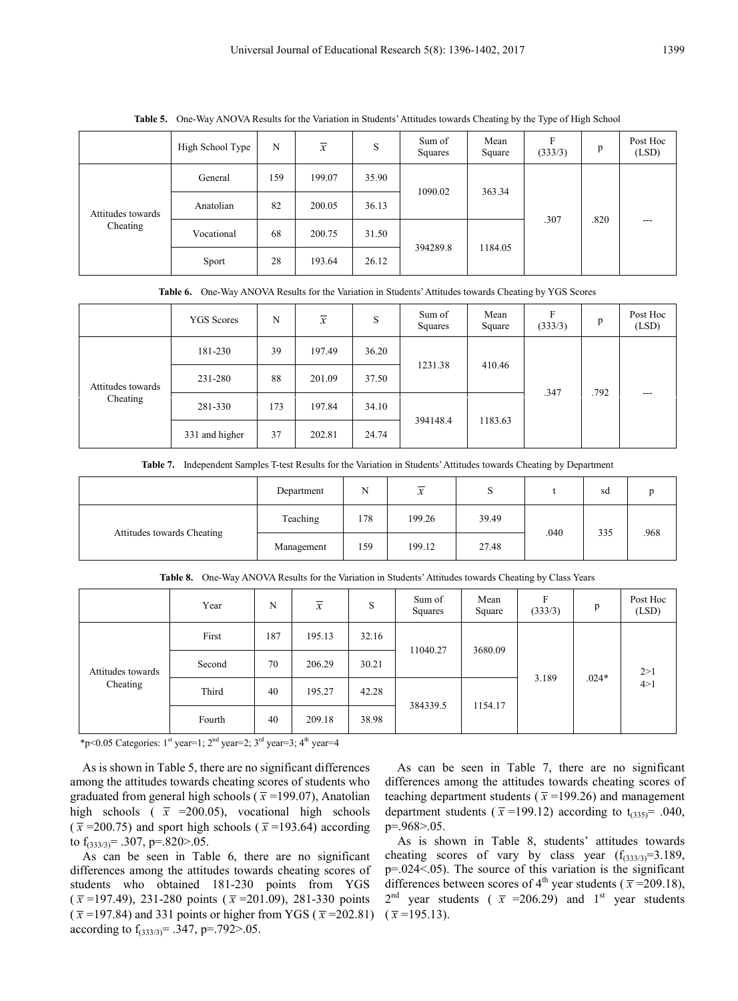|                               | High School Type | N   | $\overline{x}$ | S     | Sum of<br>Squares | Mean<br>Square | F<br>(333/3) | p    | Post Hoc<br>(LSD) |  |
|-------------------------------|------------------|-----|----------------|-------|-------------------|----------------|--------------|------|-------------------|--|
| Attitudes towards<br>Cheating | General          | 159 | 199.07         | 35.90 | 1090.02           |                | 363.34       |      |                   |  |
|                               | Anatolian        | 82  | 200.05         | 36.13 |                   |                | .307         | .820 | ---               |  |
|                               | Vocational       | 68  | 200.75         | 31.50 |                   |                |              |      |                   |  |
|                               | Sport            | 28  | 193.64         | 26.12 | 394289.8          | 1184.05        |              |      |                   |  |

**Table 5.** One-Way ANOVA Results for the Variation in Students' Attitudes towards Cheating by the Type of High School

| <b>Table 0.</b> One may have 11 hesalts for the variation in budding Tuttidues towards Cheating by TGD beores |                   |     |                |       |                   |                |              |      |                   |  |        |  |  |  |
|---------------------------------------------------------------------------------------------------------------|-------------------|-----|----------------|-------|-------------------|----------------|--------------|------|-------------------|--|--------|--|--|--|
|                                                                                                               | <b>YGS</b> Scores | N   | $\overline{x}$ | S     | Sum of<br>Squares | Mean<br>Square | F<br>(333/3) | p    | Post Hoc<br>(LSD) |  |        |  |  |  |
| Attitudes towards<br>Cheating                                                                                 | 181-230           | 39  | 197.49         | 36.20 | 1231.38           |                |              |      |                   |  | 410.46 |  |  |  |
|                                                                                                               | 231-280           | 88  | 201.09         | 37.50 |                   |                | .347         | .792 | ---               |  |        |  |  |  |
|                                                                                                               | 281-330           | 173 | 197.84         | 34.10 | 394148.4          |                |              |      |                   |  |        |  |  |  |
|                                                                                                               | 331 and higher    | 37  | 202.81         | 24.74 |                   | 1183.63        |              |      |                   |  |        |  |  |  |

**Table 6.** One-Way ANOVA Results for the Variation in Students' Attitudes towards Cheating by YGS Scores

|  |  |  |  |  | Table 7. Independent Samples T-test Results for the Variation in Students' Attitudes towards Cheating by Department |
|--|--|--|--|--|---------------------------------------------------------------------------------------------------------------------|
|--|--|--|--|--|---------------------------------------------------------------------------------------------------------------------|

|                            | Department | N   | $\overline{\mathbf{v}}$<br>∼ | O     |      | sd  |      |
|----------------------------|------------|-----|------------------------------|-------|------|-----|------|
| Attitudes towards Cheating | Teaching   | 178 | 199.26                       | 39.49 | .040 | 335 | .968 |
|                            | Management | 159 | 199.12                       | 27.48 |      |     |      |

|                               | Year   | N   | $\overline{x}$ | S     | Sum of<br>Squares | Mean<br>Square      | F<br>(333/3) | p       | Post Hoc<br>(LSD) |  |  |
|-------------------------------|--------|-----|----------------|-------|-------------------|---------------------|--------------|---------|-------------------|--|--|
| Attitudes towards<br>Cheating | First  | 187 | 195.13         | 32.16 | 11040.27          |                     |              | 3680.09 |                   |  |  |
|                               | Second | 70  | 206.29         | 30.21 |                   |                     | 3.189        | $.024*$ | 2>1<br>4>1        |  |  |
|                               | Third  | 40  | 195.27         | 42.28 |                   |                     |              |         |                   |  |  |
|                               | Fourth | 40  | 209.18         | 38.98 |                   | 384339.5<br>1154.17 |              |         |                   |  |  |

**Table 8.** One-Way ANOVA Results for the Variation in Students' Attitudes towards Cheating by Class Years

\*p<0.05 Categories:  $1<sup>st</sup>$  year=1;  $2<sup>nd</sup>$  year=2;  $3<sup>rd</sup>$  year=3;  $4<sup>th</sup>$  year=4

As is shown in Table 5, there are no significant differences among the attitudes towards cheating scores of students who graduated from general high schools ( $\bar{x}$ =199.07), Anatolian high schools ( $\bar{x}$  =200.05), vocational high schools  $(\bar{x} = 200.75)$  and sport high schools ( $\bar{x} = 193.64$ ) according to  $f_{(333/3)} = .307$ , p=.820>.05.

As can be seen in Table 6, there are no significant differences among the attitudes towards cheating scores of students who obtained 181-230 points from YGS  $(\bar{x} = 197.49)$ , 231-280 points  $(\bar{x} = 201.09)$ , 281-330 points  $(\bar{x}$  =197.84) and 331 points or higher from YGS ( $\bar{x}$  =202.81) according to  $f_{(333/3)} = .347$ , p=.792>.05.

As can be seen in Table 7, there are no significant differences among the attitudes towards cheating scores of teaching department students ( $\bar{x}$ =199.26) and management department students ( $\bar{x}$ =199.12) according to t<sub>(335)</sub>= .040, p=.968>.05.

As is shown in Table 8, students' attitudes towards cheating scores of vary by class year  $(f_{(333/3)}=3.189)$ , p=.024<.05). The source of this variation is the significant differences between scores of 4<sup>th</sup> year students ( $\bar{x}$ =209.18),  $2<sup>nd</sup>$  year students ( $\overline{x}$  =206.29) and 1<sup>st</sup> year students  $(\bar{x} = 195.13)$ .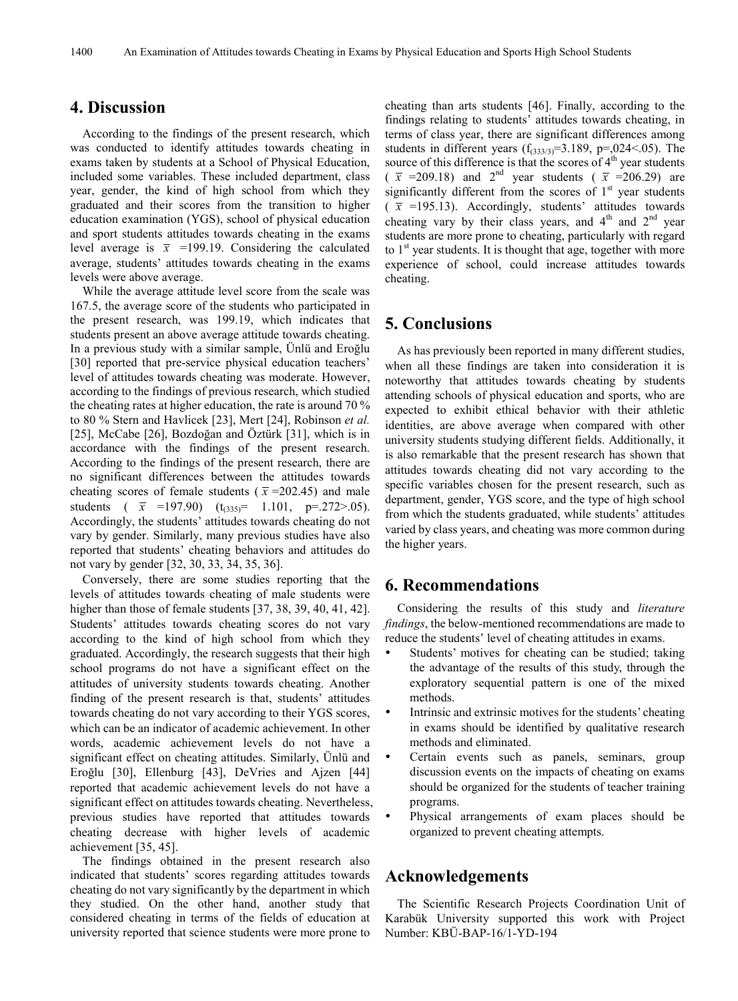# **4. Discussion**

According to the findings of the present research, which was conducted to identify attitudes towards cheating in exams taken by students at a School of Physical Education, included some variables. These included department, class year, gender, the kind of high school from which they graduated and their scores from the transition to higher education examination (YGS), school of physical education and sport students attitudes towards cheating in the exams level average is  $\bar{x}$  =199.19. Considering the calculated average, students' attitudes towards cheating in the exams levels were above average.

While the average attitude level score from the scale was 167.5, the average score of the students who participated in the present research, was 199.19, which indicates that students present an above average attitude towards cheating. In a previous study with a similar sample, Ünlü and Eroğlu [30] reported that pre-service physical education teachers' level of attitudes towards cheating was moderate. However, according to the findings of previous research, which studied the cheating rates at higher education, the rate is around 70 % to 80 % Stern and Havlicek [23], Mert [24], Robinson *et al.* [25], McCabe [26], Bozdoğan and Öztürk [31], which is in accordance with the findings of the present research. According to the findings of the present research, there are no significant differences between the attitudes towards cheating scores of female students ( $\bar{x}$ =202.45) and male students (  $\bar{x}$  =197.90) (t<sub>(335)</sub>= 1.101, p=.272>.05). Accordingly, the students' attitudes towards cheating do not vary by gender. Similarly, many previous studies have also reported that students' cheating behaviors and attitudes do not vary by gender [32, 30, 33, 34, 35, 36].

Conversely, there are some studies reporting that the levels of attitudes towards cheating of male students were higher than those of female students [37, 38, 39, 40, 41, 42]. Students' attitudes towards cheating scores do not vary according to the kind of high school from which they graduated. Accordingly, the research suggests that their high school programs do not have a significant effect on the attitudes of university students towards cheating. Another finding of the present research is that, students' attitudes towards cheating do not vary according to their YGS scores, which can be an indicator of academic achievement. In other words, academic achievement levels do not have a significant effect on cheating attitudes. Similarly, Ünlü and Eroğlu [30], Ellenburg [43], DeVries and Ajzen [44] reported that academic achievement levels do not have a significant effect on attitudes towards cheating. Nevertheless, previous studies have reported that attitudes towards cheating decrease with higher levels of academic achievement [35, 45].

The findings obtained in the present research also indicated that students' scores regarding attitudes towards cheating do not vary significantly by the department in which they studied. On the other hand, another study that considered cheating in terms of the fields of education at university reported that science students were more prone to cheating than arts students [46]. Finally, according to the findings relating to students' attitudes towards cheating, in terms of class year, there are significant differences among students in different years  $(f_{(333/3)}=3.189, p=.024<.05)$ . The source of this difference is that the scores of  $4<sup>th</sup>$  year students  $(\bar{x}$  =209.18) and 2<sup>nd</sup> year students ( $\bar{x}$  =206.29) are significantly different from the scores of  $1<sup>st</sup>$  year students  $(\bar{x}$  =195.13). Accordingly, students' attitudes towards cheating vary by their class years, and  $4<sup>th</sup>$  and  $2<sup>nd</sup>$  year students are more prone to cheating, particularly with regard to  $1<sup>st</sup>$  year students. It is thought that age, together with more experience of school, could increase attitudes towards cheating.

## **5. Conclusions**

As has previously been reported in many different studies, when all these findings are taken into consideration it is noteworthy that attitudes towards cheating by students attending schools of physical education and sports, who are expected to exhibit ethical behavior with their athletic identities, are above average when compared with other university students studying different fields. Additionally, it is also remarkable that the present research has shown that attitudes towards cheating did not vary according to the specific variables chosen for the present research, such as department, gender, YGS score, and the type of high school from which the students graduated, while students' attitudes varied by class years, and cheating was more common during the higher years.

## **6. Recommendations**

Considering the results of this study and *literature findings*, the below-mentioned recommendations are made to reduce the students' level of cheating attitudes in exams.

- Students' motives for cheating can be studied; taking the advantage of the results of this study, through the exploratory sequential pattern is one of the mixed methods.
- Intrinsic and extrinsic motives for the students' cheating in exams should be identified by qualitative research methods and eliminated.
- Certain events such as panels, seminars, group discussion events on the impacts of cheating on exams should be organized for the students of teacher training programs.
- Physical arrangements of exam places should be organized to prevent cheating attempts.

## **Acknowledgements**

The Scientific Research Projects Coordination Unit of Karabük University supported this work with Project Number: KBÜ-BAP-16/1-YD-194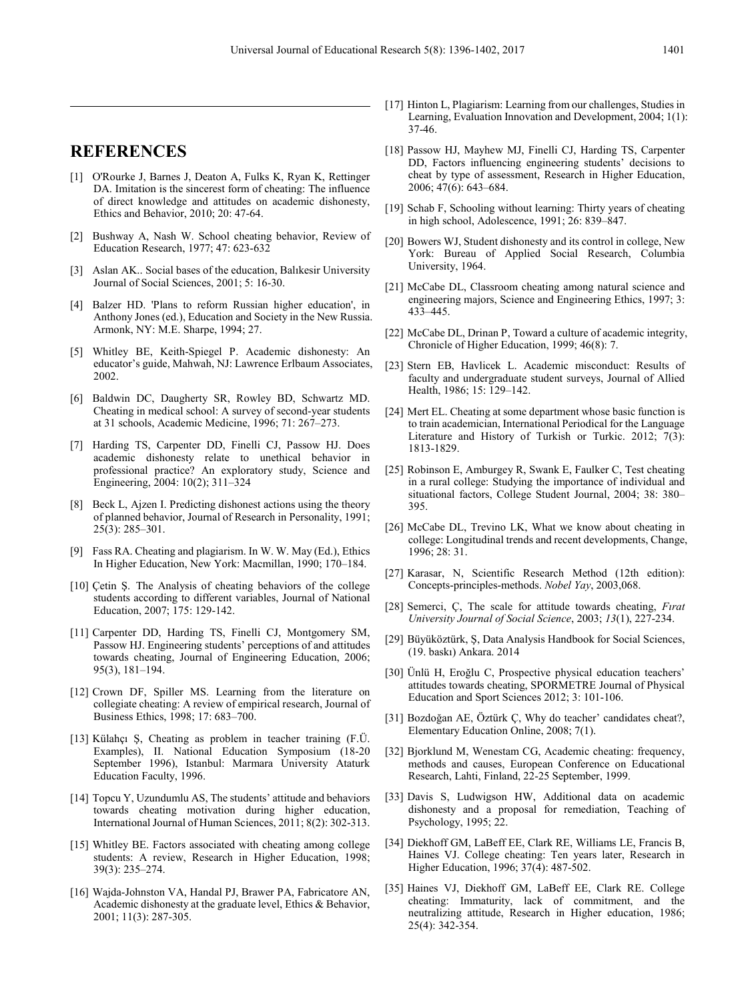# **REFERENCES**

- [1] O'Rourke J, Barnes J, Deaton A, Fulks K, Ryan K, Rettinger DA. Imitation is the sincerest form of cheating: The influence of direct knowledge and attitudes on academic dishonesty, Ethics and Behavior, 2010; 20: 47-64.
- [2] Bushway A, Nash W. School cheating behavior, Review of Education Research, 1977; 47: 623-632
- [3] Aslan AK.. Social bases of the education, Balıkesir University Journal of Social Sciences, 2001; 5: 16-30.
- [4] Balzer HD. 'Plans to reform Russian higher education', in Anthony Jones (ed.), Education and Society in the New Russia. Armonk, NY: M.E. Sharpe, 1994; 27.
- [5] Whitley BE, Keith-Spiegel P. Academic dishonesty: An educator's guide, Mahwah, NJ: Lawrence Erlbaum Associates, 2002.
- [6] Baldwin DC, Daugherty SR, Rowley BD, Schwartz MD. Cheating in medical school: A survey of second-year students at 31 schools, Academic Medicine, 1996; 71: 267–273.
- [7] Harding TS, Carpenter DD, Finelli CJ, Passow HJ. Does academic dishonesty relate to unethical behavior in professional practice? An exploratory study, Science and Engineering, 2004: 10(2); 311–324
- [8] Beck L, Ajzen I. Predicting dishonest actions using the theory of planned behavior, Journal of Research in Personality, 1991; 25(3): 285–301.
- [9] Fass RA. Cheating and plagiarism. In W. W. May (Ed.), Ethics In Higher Education, New York: Macmillan, 1990; 170–184.
- [10] Cetin S. The Analysis of cheating behaviors of the college students according to different variables, Journal of National Education, 2007; 175: 129-142.
- [11] Carpenter DD, Harding TS, Finelli CJ, Montgomery SM, Passow HJ. Engineering students' perceptions of and attitudes towards cheating, Journal of Engineering Education, 2006; 95(3), 181–194.
- [12] Crown DF, Spiller MS. Learning from the literature on collegiate cheating: A review of empirical research, Journal of Business Ethics, 1998; 17: 683–700.
- [13] Külahçı Ş, Cheating as problem in teacher training (F.Ü. Examples), II. National Education Symposium (18-20 September 1996), Istanbul: Marmara University Ataturk Education Faculty, 1996.
- [14] Topcu Y, Uzundumlu AS, The students' attitude and behaviors towards cheating motivation during higher education, International Journal of Human Sciences, 2011; 8(2): 302-313.
- [15] Whitley BE. Factors associated with cheating among college students: A review, Research in Higher Education, 1998; 39(3): 235–274.
- [16] Wajda-Johnston VA, Handal PJ, Brawer PA, Fabricatore AN, Academic dishonesty at the graduate level, Ethics & Behavior, 2001; 11(3): 287-305.
- [17] Hinton L, Plagiarism: Learning from our challenges, Studies in Learning, Evaluation Innovation and Development, 2004; 1(1): 37-46.
- [18] Passow HJ, Mayhew MJ, Finelli CJ, Harding TS, Carpenter DD, Factors influencing engineering students' decisions to cheat by type of assessment, Research in Higher Education, 2006; 47(6): 643–684.
- [19] Schab F, Schooling without learning: Thirty years of cheating in high school, Adolescence, 1991; 26: 839–847.
- [20] Bowers WJ, Student dishonesty and its control in college, New York: Bureau of Applied Social Research, Columbia University, 1964.
- [21] McCabe DL, Classroom cheating among natural science and engineering majors, Science and Engineering Ethics, 1997; 3: 433–445.
- [22] McCabe DL, Drinan P, Toward a culture of academic integrity, Chronicle of Higher Education, 1999; 46(8): 7.
- [23] Stern EB, Havlicek L. Academic misconduct: Results of faculty and undergraduate student surveys, Journal of Allied Health, 1986; 15: 129–142.
- [24] Mert EL. Cheating at some department whose basic function is to train academician, International Periodical for the Language Literature and History of Turkish or Turkic. 2012; 7(3): 1813-1829.
- [25] Robinson E, Amburgey R, Swank E, Faulker C, Test cheating in a rural college: Studying the importance of individual and situational factors, College Student Journal, 2004; 38: 380– 395.
- [26] McCabe DL, Trevino LK, What we know about cheating in college: Longitudinal trends and recent developments, Change, 1996; 28: 31.
- [27] Karasar, N, Scientific Research Method (12th edition): Concepts-principles-methods. *Nobel Yay*, 2003,068.
- [28] Semerci, Ç, The scale for attitude towards cheating, *Fırat University Journal of Social Science*, 2003; *13*(1), 227-234.
- [29] Büyüköztürk, Ş, Data Analysis Handbook for Social Sciences, (19. baskı) Ankara. 2014
- [30] Ünlü H, Eroğlu C, Prospective physical education teachers' attitudes towards cheating, SPORMETRE Journal of Physical Education and Sport Sciences 2012; 3: 101-106.
- [31] Bozdoğan AE, Öztürk Ç, Why do teacher' candidates cheat?, Elementary Education Online, 2008; 7(1).
- [32] Bjorklund M, Wenestam CG, Academic cheating: frequency, methods and causes, European Conference on Educational Research, Lahti, Finland, 22-25 September, 1999.
- [33] Davis S, Ludwigson HW, Additional data on academic dishonesty and a proposal for remediation, Teaching of Psychology, 1995; 22.
- [34] Diekhoff GM, LaBeff EE, Clark RE, Williams LE, Francis B, Haines VJ. College cheating: Ten years later, Research in Higher Education, 1996; 37(4): 487-502.
- [35] Haines VJ, Diekhoff GM, LaBeff EE, Clark RE. College cheating: Immaturity, lack of commitment, and the neutralizing attitude, Research in Higher education, 1986; 25(4): 342-354.